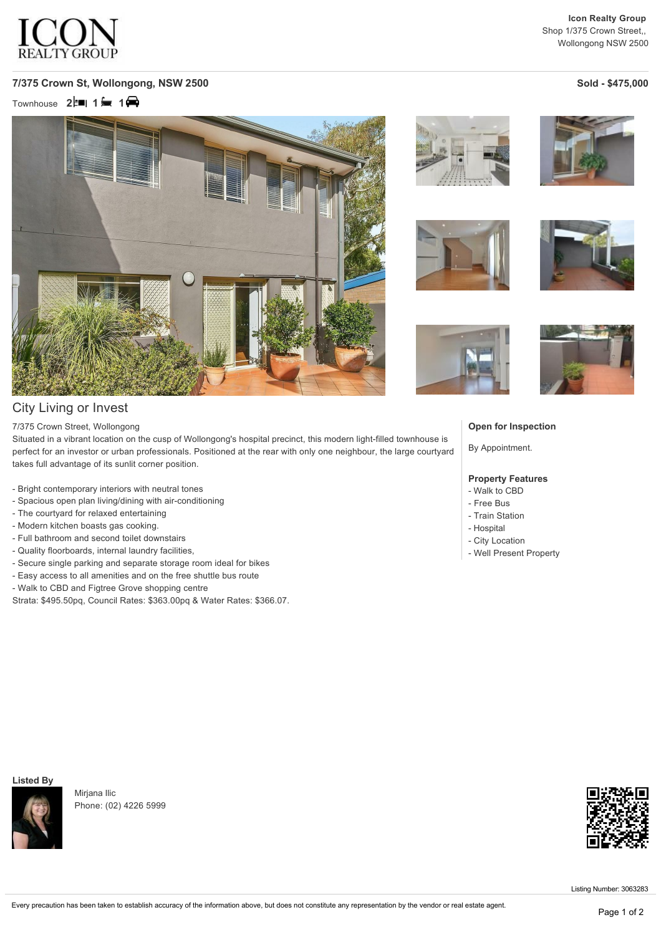

### **7/375 Crown St, Wollongong, NSW 2500 Sold \$475,000**

Townhouse **2<sup>** $\uparrow$ **</sup> 1** 1 <del>■</del> 1 ●



## City Living or Invest

#### 7/375 Crown Street, Wollongong

Situated in a vibrant location on the cusp of Wollongong's hospital precinct, this modern light-filled townhouse is perfect for an investor or urban professionals. Positioned at the rear with only one neighbour, the large courtyard takes full advantage of its sunlit corner position.

- Bright contemporary interiors with neutral tones
- Spacious open plan living/dining with air-conditioning
- The courtyard for relaxed entertaining
- Modern kitchen boasts gas cooking.
- Full bathroom and second toilet downstairs
- Quality floorboards, internal laundry facilities,
- Secure single parking and separate storage room ideal for bikes
- Easy access to all amenities and on the free shuttle bus route
- Walk to CBD and Figtree Grove shopping centre
- Strata: \$495.50pq, Council Rates: \$363.00pq & Water Rates: \$366.07.













#### **Open for Inspection**

By Appointment.

#### **Property Features**

- Walk to CBD
- Free Bus
- Train Station
- Hospital
- City Location
- Well Present Property

**Listed By**



Mirjana Ilic Phone: (02) 4226 5999